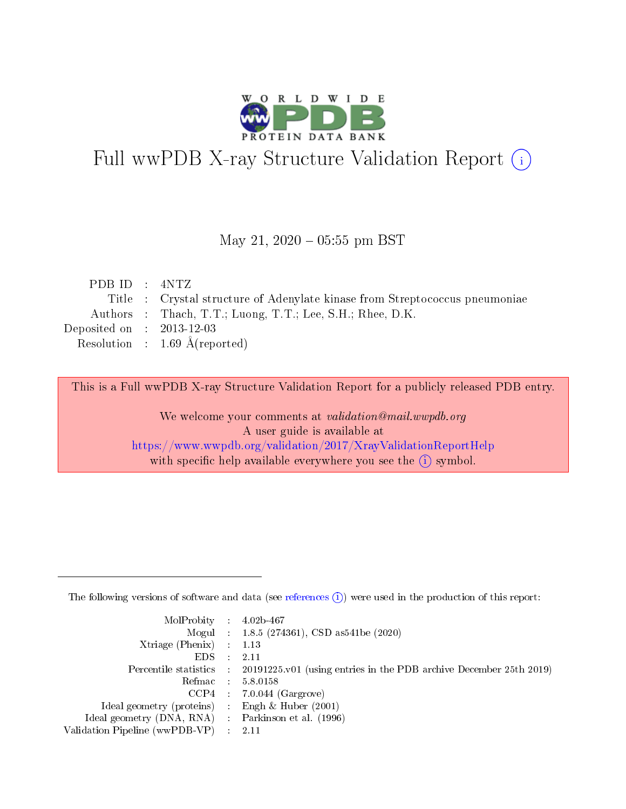

# Full wwPDB X-ray Structure Validation Report (i)

#### May 21,  $2020 - 05:55$  pm BST

| PDBID : 4NTZ                |                                                                             |
|-----------------------------|-----------------------------------------------------------------------------|
|                             | Title : Crystal structure of Adenylate kinase from Streptococcus pneumoniae |
|                             | Authors : Thach, T.T.; Luong, T.T.; Lee, S.H.; Rhee, D.K.                   |
| Deposited on : $2013-12-03$ |                                                                             |
|                             | Resolution : $1.69 \text{ Å}$ (reported)                                    |

This is a Full wwPDB X-ray Structure Validation Report for a publicly released PDB entry.

We welcome your comments at validation@mail.wwpdb.org A user guide is available at <https://www.wwpdb.org/validation/2017/XrayValidationReportHelp> with specific help available everywhere you see the  $(i)$  symbol.

The following versions of software and data (see [references](https://www.wwpdb.org/validation/2017/XrayValidationReportHelp#references)  $(1)$ ) were used in the production of this report:

| MolProbity : $4.02b-467$                            |                                                                                            |
|-----------------------------------------------------|--------------------------------------------------------------------------------------------|
|                                                     | Mogul : $1.8.5$ (274361), CSD as 541be (2020)                                              |
| $Xtriangle (Phenix)$ : 1.13                         |                                                                                            |
| $EDS$ :                                             | -2.11                                                                                      |
|                                                     | Percentile statistics : 20191225.v01 (using entries in the PDB archive December 25th 2019) |
| Refmac : 5.8.0158                                   |                                                                                            |
|                                                     | $CCP4$ 7.0.044 (Gargrove)                                                                  |
| Ideal geometry (proteins) : Engh $\&$ Huber (2001)  |                                                                                            |
| Ideal geometry (DNA, RNA) : Parkinson et al. (1996) |                                                                                            |
| Validation Pipeline (wwPDB-VP) : 2.11               |                                                                                            |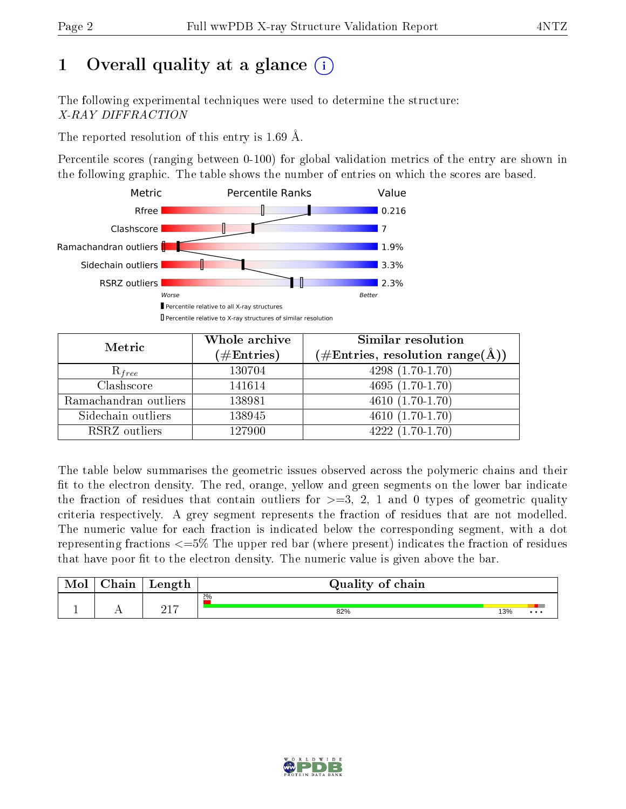# 1 [O](https://www.wwpdb.org/validation/2017/XrayValidationReportHelp#overall_quality)verall quality at a glance  $(i)$

The following experimental techniques were used to determine the structure: X-RAY DIFFRACTION

The reported resolution of this entry is 1.69 Å.

Percentile scores (ranging between 0-100) for global validation metrics of the entry are shown in the following graphic. The table shows the number of entries on which the scores are based.



| Metric                | Whole archive<br>$(\#\text{Entries})$ | Similar resolution<br>$(\#\text{Entries}, \text{resolution range}(\text{\AA}))$ |  |  |
|-----------------------|---------------------------------------|---------------------------------------------------------------------------------|--|--|
| $R_{free}$            | 130704                                | $4298(1.70-1.70)$                                                               |  |  |
| Clashscore            | 141614                                | $4695(1.70-1.70)$                                                               |  |  |
| Ramachandran outliers | 138981                                | $\overline{4610}(1.70-1.70)$                                                    |  |  |
| Sidechain outliers    | 138945                                | $4610(1.70-1.70)$                                                               |  |  |
| RSRZ outliers         | 127900                                | $4222(1.70-1.70)$                                                               |  |  |

The table below summarises the geometric issues observed across the polymeric chains and their fit to the electron density. The red, orange, yellow and green segments on the lower bar indicate the fraction of residues that contain outliers for  $>=3, 2, 1$  and 0 types of geometric quality criteria respectively. A grey segment represents the fraction of residues that are not modelled. The numeric value for each fraction is indicated below the corresponding segment, with a dot representing fractions  $\epsilon=5\%$  The upper red bar (where present) indicates the fraction of residues that have poor fit to the electron density. The numeric value is given above the bar.

| Mol | $\cap$ hain | Length      | Quality of chain |     |          |  |  |  |  |
|-----|-------------|-------------|------------------|-----|----------|--|--|--|--|
|     |             |             | $2\%$            |     |          |  |  |  |  |
|     |             | 217<br>21 L | 82%              | 13% | $\cdots$ |  |  |  |  |

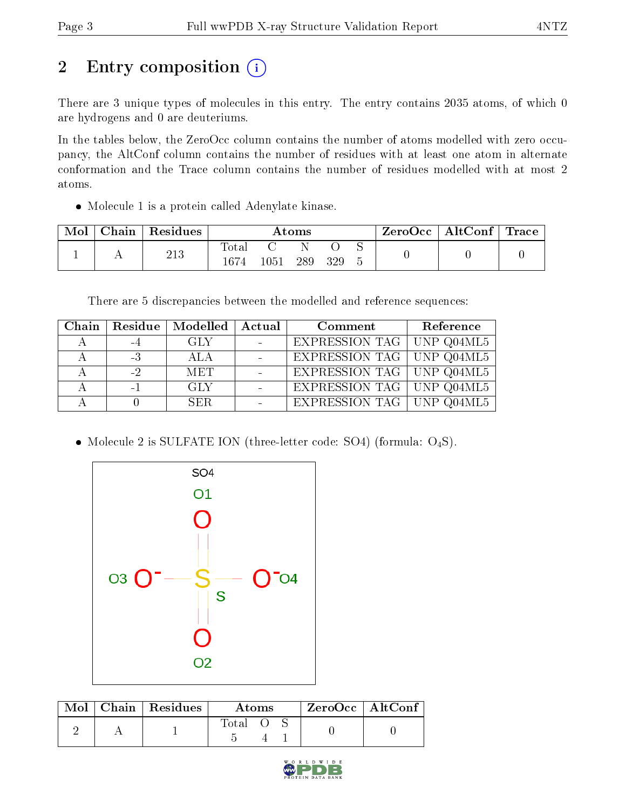# 2 Entry composition (i)

There are 3 unique types of molecules in this entry. The entry contains 2035 atoms, of which 0 are hydrogens and 0 are deuteriums.

In the tables below, the ZeroOcc column contains the number of atoms modelled with zero occupancy, the AltConf column contains the number of residues with at least one atom in alternate conformation and the Trace column contains the number of residues modelled with at most 2 atoms.

• Molecule 1 is a protein called Adenylate kinase.

| ${\rm Chain}$ | Residues | Atoms        |      |     | ⊢ZeroOcc∣ | $\mid$ AltConf $\mid$ | Trace |  |  |
|---------------|----------|--------------|------|-----|-----------|-----------------------|-------|--|--|
|               | 213      | <b>Total</b> |      |     |           |                       |       |  |  |
|               |          | 1674         | 1051 | 289 | 329       |                       |       |  |  |

There are 5 discrepancies between the modelled and reference sequences:

|      | Chain   Residue   Modelled   Actual |                      | Comment                          | Reference |
|------|-------------------------------------|----------------------|----------------------------------|-----------|
| $-4$ | <b>GLY</b>                          | $\sim 100$ m $^{-1}$ | EXPRESSION TAG   UNP Q04ML5      |           |
| $-3$ | -ALA                                |                      | EXPRESSION TAG   UNP Q04ML5      |           |
| $-2$ | <b>MET</b>                          | $\sim$               | <b>EXPRESSION TAG UNP Q04ML5</b> |           |
| $-1$ | GLY                                 | $\sim$               | EXPRESSION TAG UNP Q04ML5        |           |
|      | SER.                                |                      | <b>EXPRESSION TAG</b> UNP Q04ML5 |           |

• Molecule 2 is SULFATE ION (three-letter code: SO4) (formula: O<sub>4</sub>S).



|  | $Mol$   Chain   Residues | Atoms | $ZeroOcc$   AltConf |  |
|--|--------------------------|-------|---------------------|--|
|  |                          | Total |                     |  |

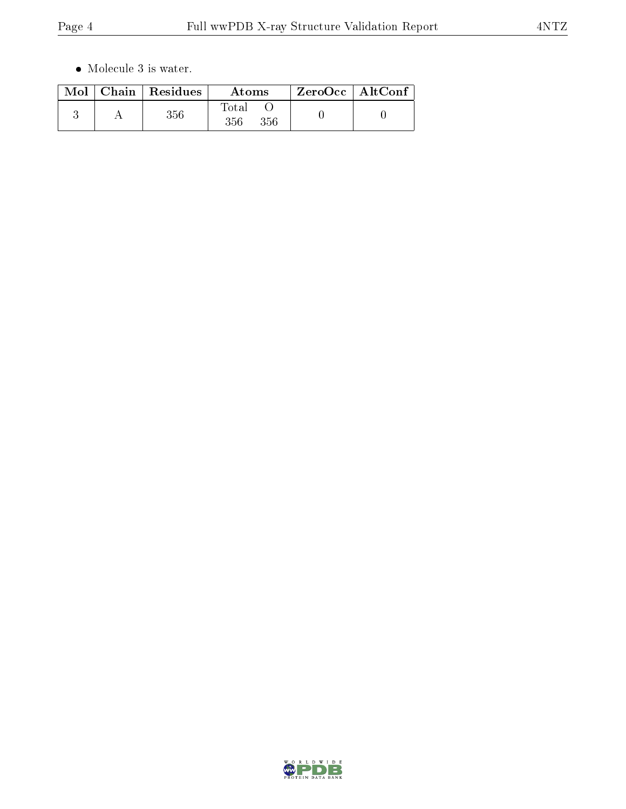$\bullet\,$  Molecule 3 is water.

|  | $\text{Mol}$   Chain   Residues | Atoms               | $ZeroOcc \mid AltConf \mid$ |  |
|--|---------------------------------|---------------------|-----------------------------|--|
|  | $356\,$                         | Total<br>356<br>356 |                             |  |

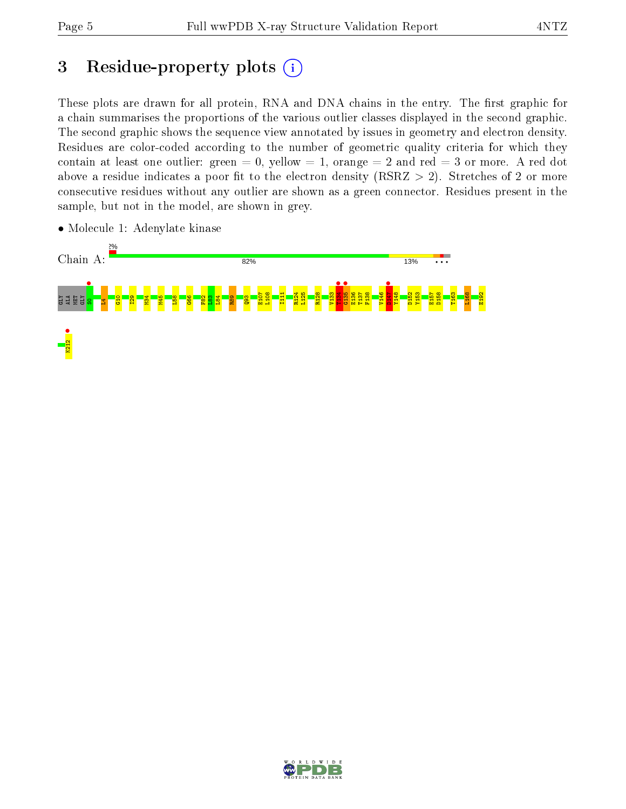## 3 Residue-property plots  $(i)$

These plots are drawn for all protein, RNA and DNA chains in the entry. The first graphic for a chain summarises the proportions of the various outlier classes displayed in the second graphic. The second graphic shows the sequence view annotated by issues in geometry and electron density. Residues are color-coded according to the number of geometric quality criteria for which they contain at least one outlier: green  $= 0$ , yellow  $= 1$ , orange  $= 2$  and red  $= 3$  or more. A red dot above a residue indicates a poor fit to the electron density (RSRZ  $> 2$ ). Stretches of 2 or more consecutive residues without any outlier are shown as a green connector. Residues present in the sample, but not in the model, are shown in grey.



• Molecule 1: Adenylate kinase

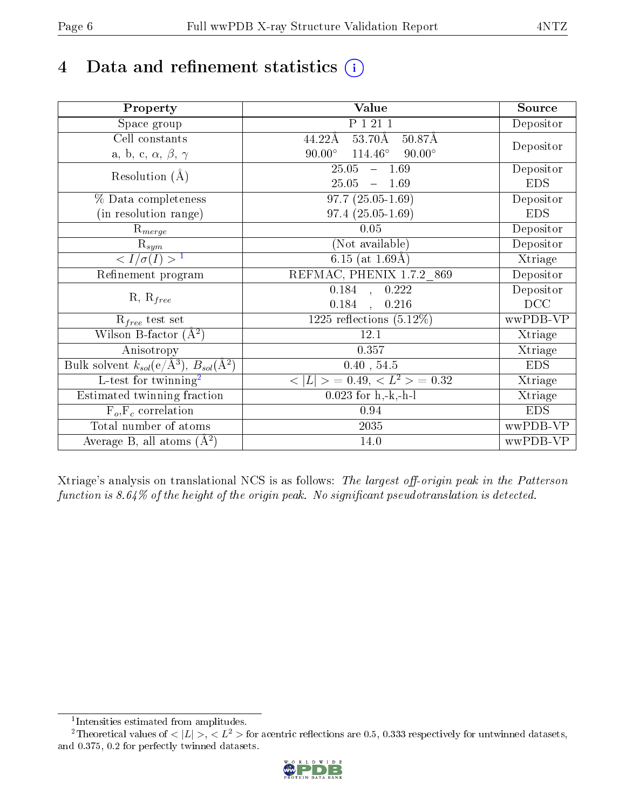# 4 Data and refinement statistics  $(i)$

| Property                                                   | Value                                              | Source     |
|------------------------------------------------------------|----------------------------------------------------|------------|
| Space group                                                | P 1 21 1                                           | Depositor  |
| Cell constants                                             | $53.70\text{\AA}$<br>50.87Å<br>44.22Å              |            |
| a, b, c, $\alpha$ , $\beta$ , $\gamma$                     | $114.46^{\circ}$<br>$90.00^\circ$<br>$90.00^\circ$ | Depositor  |
| Resolution $(A)$                                           | 25.05<br>$-1.69$                                   | Depositor  |
|                                                            | 25.05<br>$-1.69$                                   | <b>EDS</b> |
| % Data completeness                                        | $97.7(25.05-1.69)$                                 | Depositor  |
| (in resolution range)                                      | $97.4(25.05-1.69)$                                 | <b>EDS</b> |
| $\mathrm{R}_{merge}$                                       | 0.05                                               | Depositor  |
| $\mathrm{R}_{sym}$                                         | (Not available)                                    | Depositor  |
| $\langle I/\sigma(I) \rangle^{-1}$                         | $\overline{6.15}$ (at 1.69Å)                       | Xtriage    |
| Refinement program                                         | REFMAC, PHENIX 1.7.2_869                           | Depositor  |
|                                                            | 0.184, 0.222                                       | Depositor  |
| $R, R_{free}$                                              | 0.184,<br>0.216                                    | DCC        |
| $R_{free}$ test set                                        | $1225$ reflections $(5.12\%)$                      | wwPDB-VP   |
| Wilson B-factor $(A^2)$                                    | 12.1                                               | Xtriage    |
| Anisotropy                                                 | 0.357                                              | Xtriage    |
| Bulk solvent $k_{sol}$ (e/Å <sup>3</sup> ), $B_{sol}(A^2)$ | 0.40, 54.5                                         | <b>EDS</b> |
| $\overline{L-test for}$ twinning <sup>2</sup>              | $< L >$ = 0.49, $< L^2 >$ = 0.32                   | Xtriage    |
| Estimated twinning fraction                                | $\overline{0.0}23$ for h,-k,-h-l                   | Xtriage    |
| $F_o, F_c$ correlation                                     | 0.94                                               | <b>EDS</b> |
| Total number of atoms                                      | 2035                                               | wwPDB-VP   |
| Average B, all atoms $(A^2)$                               | 14.0                                               | wwPDB-VP   |

Xtriage's analysis on translational NCS is as follows: The largest off-origin peak in the Patterson function is  $8.64\%$  of the height of the origin peak. No significant pseudotranslation is detected.

<sup>&</sup>lt;sup>2</sup>Theoretical values of  $\langle |L| \rangle$ ,  $\langle L^2 \rangle$  for acentric reflections are 0.5, 0.333 respectively for untwinned datasets, and 0.375, 0.2 for perfectly twinned datasets.



<span id="page-5-1"></span><span id="page-5-0"></span><sup>1</sup> Intensities estimated from amplitudes.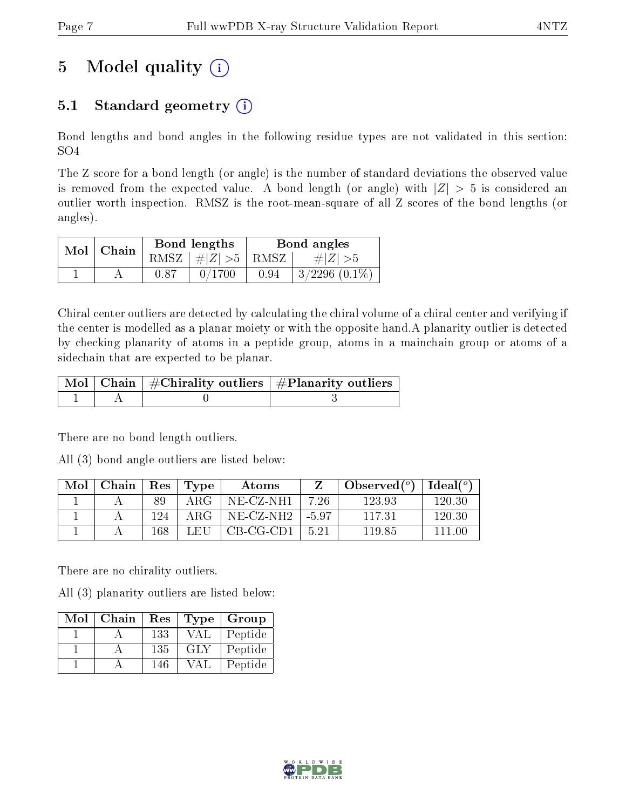# 5 Model quality  $(i)$

### 5.1 Standard geometry  $(i)$

Bond lengths and bond angles in the following residue types are not validated in this section: SO4

The Z score for a bond length (or angle) is the number of standard deviations the observed value is removed from the expected value. A bond length (or angle) with  $|Z| > 5$  is considered an outlier worth inspection. RMSZ is the root-mean-square of all Z scores of the bond lengths (or angles).

| $Mol$   Chain |      | Bond lengths                            | Bond angles |                    |  |
|---------------|------|-----------------------------------------|-------------|--------------------|--|
|               |      | RMSZ $\mid \#  Z  > 5 \mid$ RMSZ $\mid$ |             | $\# Z  > 5$        |  |
|               | 0.87 | 0/1700                                  | 0.94        | $3/2296$ $(0.1\%)$ |  |

Chiral center outliers are detected by calculating the chiral volume of a chiral center and verifying if the center is modelled as a planar moiety or with the opposite hand.A planarity outlier is detected by checking planarity of atoms in a peptide group, atoms in a mainchain group or atoms of a sidechain that are expected to be planar.

|  | $\mid$ Mol $\mid$ Chain $\mid$ #Chirality outliers $\mid$ #Planarity outliers $\mid$ |
|--|--------------------------------------------------------------------------------------|
|  |                                                                                      |

There are no bond length outliers.

All (3) bond angle outliers are listed below:

| Mol | Chain | Res | Type        | Atoms        |      | Observed $(°)$ | $\text{Ideal}({}^o)$ |
|-----|-------|-----|-------------|--------------|------|----------------|----------------------|
|     |       | 89  | ${\rm ARG}$ | NE-CZ-NH1    | 7.26 | 123.93         | 120.30               |
|     |       | 124 | ARG         | $NE- CZ-NH2$ | -597 | -117.31        | 120.30               |
|     |       | 168 | LEU         | $CB-CG-CD1$  | 5.21 | 119.85         | 111 00               |

There are no chirality outliers.

All (3) planarity outliers are listed below:

| Mol | Chain | Res |            | Type   Group |
|-----|-------|-----|------------|--------------|
|     |       | 133 | <b>VAL</b> | Peptide      |
|     |       | 135 | GLY        | Peptide      |
|     |       | 146 | VAI        | Peptide      |

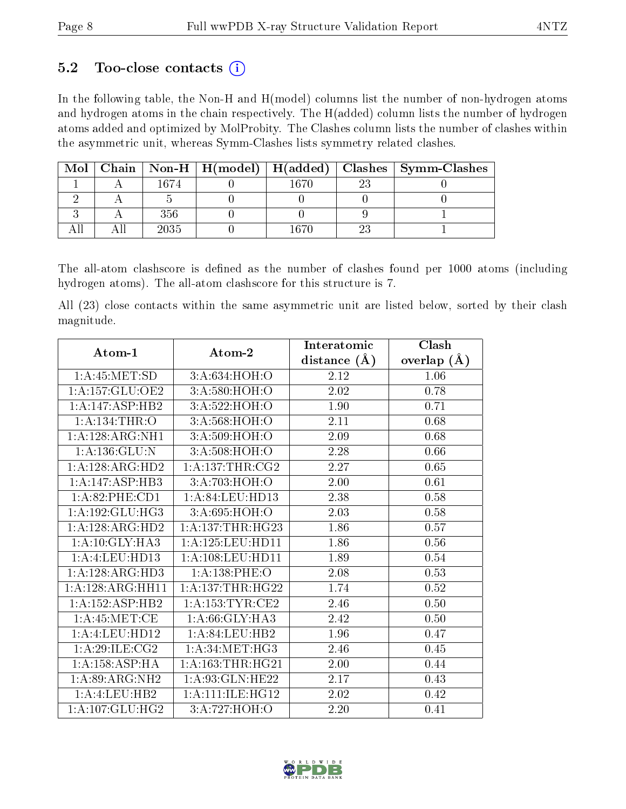### 5.2 Too-close contacts  $(i)$

In the following table, the Non-H and H(model) columns list the number of non-hydrogen atoms and hydrogen atoms in the chain respectively. The H(added) column lists the number of hydrogen atoms added and optimized by MolProbity. The Clashes column lists the number of clashes within the asymmetric unit, whereas Symm-Clashes lists symmetry related clashes.

| Mol |      |      |    | Chain   Non-H   H(model)   H(added)   Clashes   Symm-Clashes |
|-----|------|------|----|--------------------------------------------------------------|
|     | 1674 | 1670 | 23 |                                                              |
|     |      |      |    |                                                              |
|     | 356  |      |    |                                                              |
|     | 2035 | 167C |    |                                                              |

The all-atom clashscore is defined as the number of clashes found per 1000 atoms (including hydrogen atoms). The all-atom clashscore for this structure is 7.

All (23) close contacts within the same asymmetric unit are listed below, sorted by their clash magnitude.

| Atom-1                       | Atom-2               | Interatomic    | Clash         |
|------------------------------|----------------------|----------------|---------------|
|                              |                      | distance $(A)$ | overlap $(A)$ |
| 1: A:45:MET:SD               | 3:A:634:HOH:O        | 2.12           | 1.06          |
| 1: A: 157: GLU: OE2          | 3:A:580:HOH:O        | 2.02           | 0.78          |
| 1:A:147:ASP:HB2              | 3:A:522:HOH:O        | 1.90           | 0.71          |
| 1: A: 134: THR: O            | 3:A:568:HOH:O        | 2.11           | 0.68          |
| 1:A:128:ARG:NH1              | 3:A:509:HOH:O        | 2.09           | 0.68          |
| 1: A: 136: GLU:N             | 3: A:508:HOH:O       | 2.28           | 0.66          |
| $1:A:128:ARG:H\overline{D2}$ | 1: A: 137: THR: CG2  | 2.27           | 0.65          |
| 1:A:147:ASP:HB3              | 3:A:703:HOH:O        | 2.00           | 0.61          |
| 1:A:82:PHE:CD1               | 1:A:84:LEU:HD13      | 2.38           | 0.58          |
| 1: A: 192: GLU: HG3          | 3: A:695: HOH:O      | 2.03           | 0.58          |
| 1: A: 128: ARG: HD2          | 1: A:137:THR:HG23    | 1.86           | 0.57          |
| 1:A:10:GLY:HA3               | 1: A: 125: LEU: HD11 | 1.86           | 0.56          |
| 1:A:4:LEU:HD13               | 1:A:108:LEU:HD11     | 1.89           | 0.54          |
| 1:A:128:ARG:HD3              | 1:A:138:PHE:O        | 2.08           | 0.53          |
| 1:A:128:ARG:HH11             | 1: A: 137: THR: HG22 | 1.74           | 0.52          |
| 1:A:152:ASP:HB2              | 1: A: 153: TYR: CE2  | 2.46           | $0.50\,$      |
| 1: A:45: MET:CE              | 1: A:66: GLY:HA3     | 2.42           | $0.50\,$      |
| 1:A:4:LEU:HD12               | 1: A:84:LEU:HB2      | 1.96           | 0.47          |
| 1: A:29: ILE: CG2            | 1: A:34:MET:HG3      | 2.46           | 0.45          |
| 1: A: 158: ASP:HA            | 1: A: 163: THR: HG21 | 2.00           | 0.44          |
| 1: A:89: ARG: NH2            | 1: A:93: GLN: HE22   | 2.17           | 0.43          |
| 1:A:4:LEU:HB2                | 1:A:111:ILE:HG12     | 2.02           | 0.42          |
| 1: A: 107: GLU: HG2          | 3:A:727:HOH:O        | 2.20           | 0.41          |

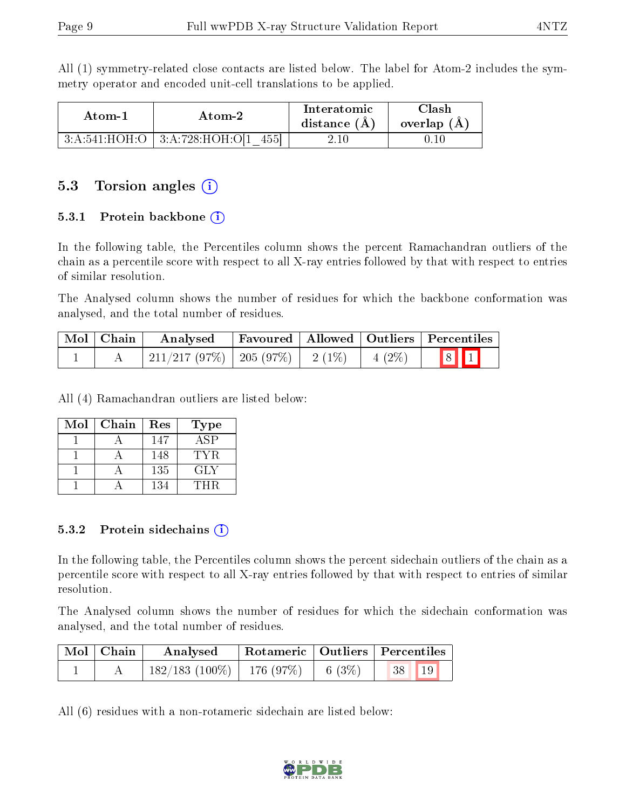All (1) symmetry-related close contacts are listed below. The label for Atom-2 includes the symmetry operator and encoded unit-cell translations to be applied.

| Atom-1 | Atom-2                                           | Interatomic<br>distance $(A)$ | Clash<br>overlap $(A)$ |
|--------|--------------------------------------------------|-------------------------------|------------------------|
|        | $+3:$ A:541:HOH:O $+3:$ A:728:HOH:O[1 $-$<br>455 | $2.10\,$                      | 0.10                   |

#### 5.3 Torsion angles  $(i)$

#### 5.3.1 Protein backbone  $(i)$

In the following table, the Percentiles column shows the percent Ramachandran outliers of the chain as a percentile score with respect to all X-ray entries followed by that with respect to entries of similar resolution.

The Analysed column shows the number of residues for which the backbone conformation was analysed, and the total number of residues.

| Mol   Chain | Analysed                                  |  |          | Favoured   Allowed   Outliers   Percentiles |
|-------------|-------------------------------------------|--|----------|---------------------------------------------|
|             | $\mid$ 211/217 (97%)   205 (97%)   2 (1%) |  | $4(2\%)$ | $\boxed{8}$ $\boxed{1}$                     |

All (4) Ramachandran outliers are listed below:

| Mol | Chain | Res | Type |
|-----|-------|-----|------|
|     |       | 147 | A SP |
|     |       | 148 | TYR. |
|     |       | 135 | GLY  |
|     |       | 134 | THR  |

#### 5.3.2 Protein sidechains (i)

In the following table, the Percentiles column shows the percent sidechain outliers of the chain as a percentile score with respect to all X-ray entries followed by that with respect to entries of similar resolution.

The Analysed column shows the number of residues for which the sidechain conformation was analysed, and the total number of residues.

| Mol   Chain | Analysed                       |          | Rotameric   Outliers   Percentiles |  |
|-------------|--------------------------------|----------|------------------------------------|--|
|             | $182/183$ (100\%)   176 (97\%) | 6 $(3%)$ | 19<br>38                           |  |

All (6) residues with a non-rotameric sidechain are listed below:

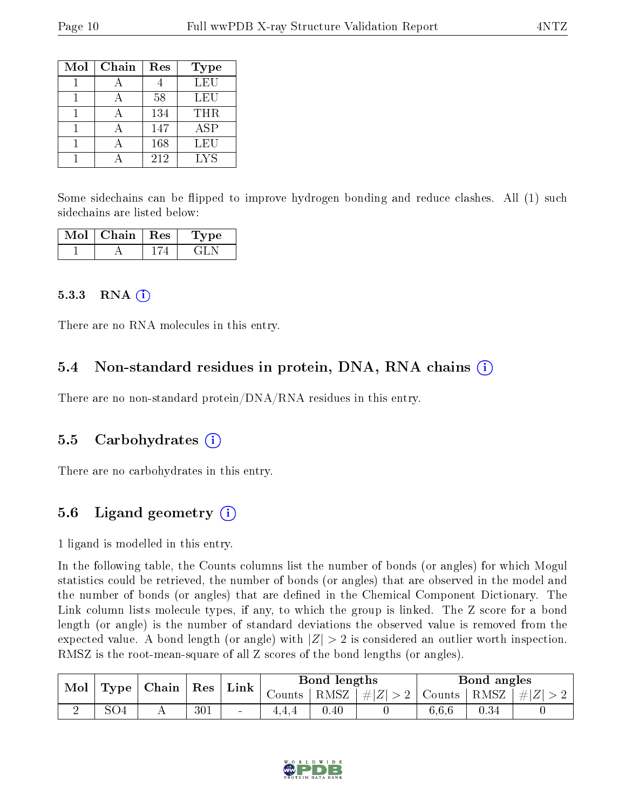| Mol | Chain | Res | <b>Type</b> |
|-----|-------|-----|-------------|
|     |       |     | LEU         |
|     |       | 58  | LEU         |
|     |       | 134 | <b>THR</b>  |
|     |       | 147 | <b>ASP</b>  |
|     |       | 168 | LEU         |
|     |       | 212 | LYS         |

Some sidechains can be flipped to improve hydrogen bonding and reduce clashes. All (1) such sidechains are listed below:

| Mol | Chain | $\pm$ Res $\pm$ | Type |
|-----|-------|-----------------|------|
|     |       |                 |      |

#### 5.3.3 RNA  $(i)$

There are no RNA molecules in this entry.

#### 5.4 Non-standard residues in protein, DNA, RNA chains  $(i)$

There are no non-standard protein/DNA/RNA residues in this entry.

#### 5.5 Carbohydrates  $(i)$

There are no carbohydrates in this entry.

### 5.6 Ligand geometry  $(i)$

1 ligand is modelled in this entry.

In the following table, the Counts columns list the number of bonds (or angles) for which Mogul statistics could be retrieved, the number of bonds (or angles) that are observed in the model and the number of bonds (or angles) that are defined in the Chemical Component Dictionary. The Link column lists molecule types, if any, to which the group is linked. The Z score for a bond length (or angle) is the number of standard deviations the observed value is removed from the expected value. A bond length (or angle) with  $|Z| > 2$  is considered an outlier worth inspection. RMSZ is the root-mean-square of all Z scores of the bond lengths (or angles).

| Mol |                                    |     | $\mid$ Res | $\mathbf{Link}^+$ | Bond lengths |                     | Bond angles             |       |          |  |
|-----|------------------------------------|-----|------------|-------------------|--------------|---------------------|-------------------------|-------|----------|--|
|     | $\vert$ Type $\vert$ Chain $\vert$ |     |            | Counts            | RMSZ         | $\perp$ # $ Z  > 2$ | Counts   RMSZ   $\# Z $ |       |          |  |
| ∼   | SO <sub>4</sub>                    | 4 L | 301        | $\blacksquare$    | $+ + + +$    | $0.40\,$            |                         | 6,6,6 | $0.34\,$ |  |

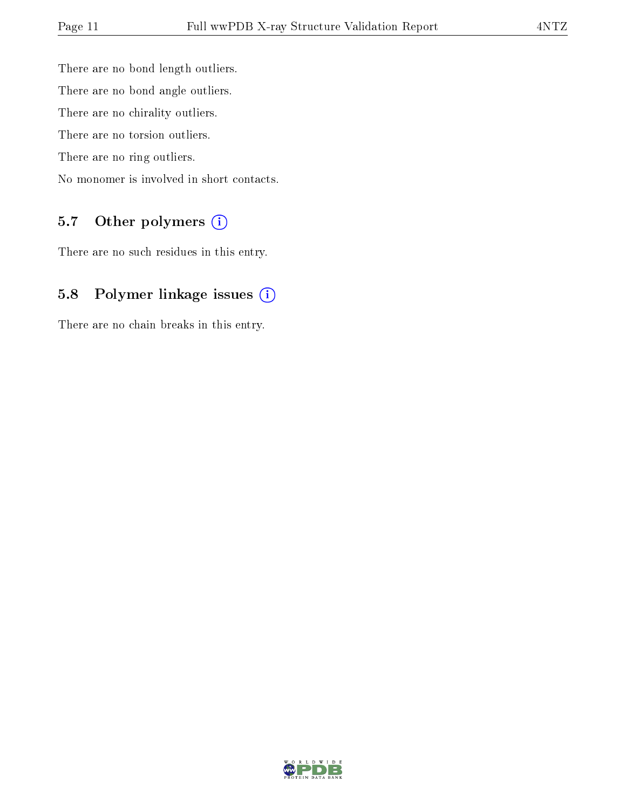There are no bond length outliers. There are no bond angle outliers. There are no chirality outliers. There are no torsion outliers. There are no ring outliers. No monomer is involved in short contacts.

### 5.7 [O](https://www.wwpdb.org/validation/2017/XrayValidationReportHelp#nonstandard_residues_and_ligands)ther polymers (i)

There are no such residues in this entry.

### 5.8 Polymer linkage issues (i)

There are no chain breaks in this entry.

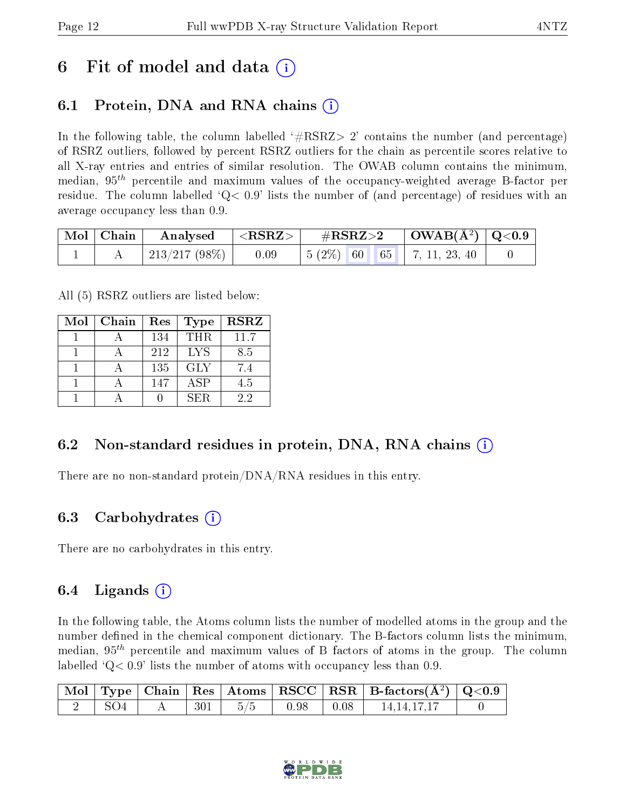## 6 Fit of model and data  $\left( \cdot \right)$

### 6.1 Protein, DNA and RNA chains (i)

In the following table, the column labelled  $#RSRZ>2'$  contains the number (and percentage) of RSRZ outliers, followed by percent RSRZ outliers for the chain as percentile scores relative to all X-ray entries and entries of similar resolution. The OWAB column contains the minimum, median,  $95<sup>th</sup>$  percentile and maximum values of the occupancy-weighted average B-factor per residue. The column labelled  $Q< 0.9$  lists the number of (and percentage) of residues with an average occupancy less than 0.9.

| Mol   Chain | $\vert$ Analysed $\vert$ <rsrz> <math>\vert</math></rsrz> |      | $\rm \#RSRZ{>}2$                                                                                 | $\vert$ OWAB( $\rm \AA^2)$ $\vert$ Q<0.9 $\vert$ |  |
|-------------|-----------------------------------------------------------|------|--------------------------------------------------------------------------------------------------|--------------------------------------------------|--|
|             | 213/217 (98\%)                                            | 0.09 | $\begin{array}{ c c c c c c c c } \hline 5 & 2\% & 60 & 65 & 7, 11, 23, 40 \ \hline \end{array}$ |                                                  |  |

All (5) RSRZ outliers are listed below:

| Mol | Chain | Res | <b>Type</b> | <b>RSRZ</b> |
|-----|-------|-----|-------------|-------------|
|     |       | 134 | <b>THR</b>  | 11.7        |
|     |       | 212 | <b>LYS</b>  | 8.5         |
|     |       | 135 | <b>GLY</b>  | 7.4         |
|     |       | 147 | <b>ASP</b>  | 4.5         |
|     |       |     | SER.        | 22          |

### 6.2 Non-standard residues in protein, DNA, RNA chains (i)

There are no non-standard protein/DNA/RNA residues in this entry.

#### 6.3 Carbohydrates (i)

There are no carbohydrates in this entry.

### 6.4 Ligands  $(i)$

In the following table, the Atoms column lists the number of modelled atoms in the group and the number defined in the chemical component dictionary. The B-factors column lists the minimum, median,  $95<sup>th</sup>$  percentile and maximum values of B factors of atoms in the group. The column labelled  $Q< 0.9$ ' lists the number of atoms with occupancy less than 0.9.

|       |                   |     |                                                                                    | $\vert$ Mol $\vert$ Type $\vert$ Chain $\vert$ Res $\vert$ Atoms $\vert$ RSCC $\vert$ RSR $\vert$ B-factors(A <sup>2</sup> ) $\vert$ Q<0.9 |  |
|-------|-------------------|-----|------------------------------------------------------------------------------------|--------------------------------------------------------------------------------------------------------------------------------------------|--|
| - SO4 | $\vert 301 \vert$ | 5/5 | $\begin{array}{ c c c c c c } \hline \text{0.98} & \text{0.08} \hline \end{array}$ | 14, 14, 17, 17                                                                                                                             |  |